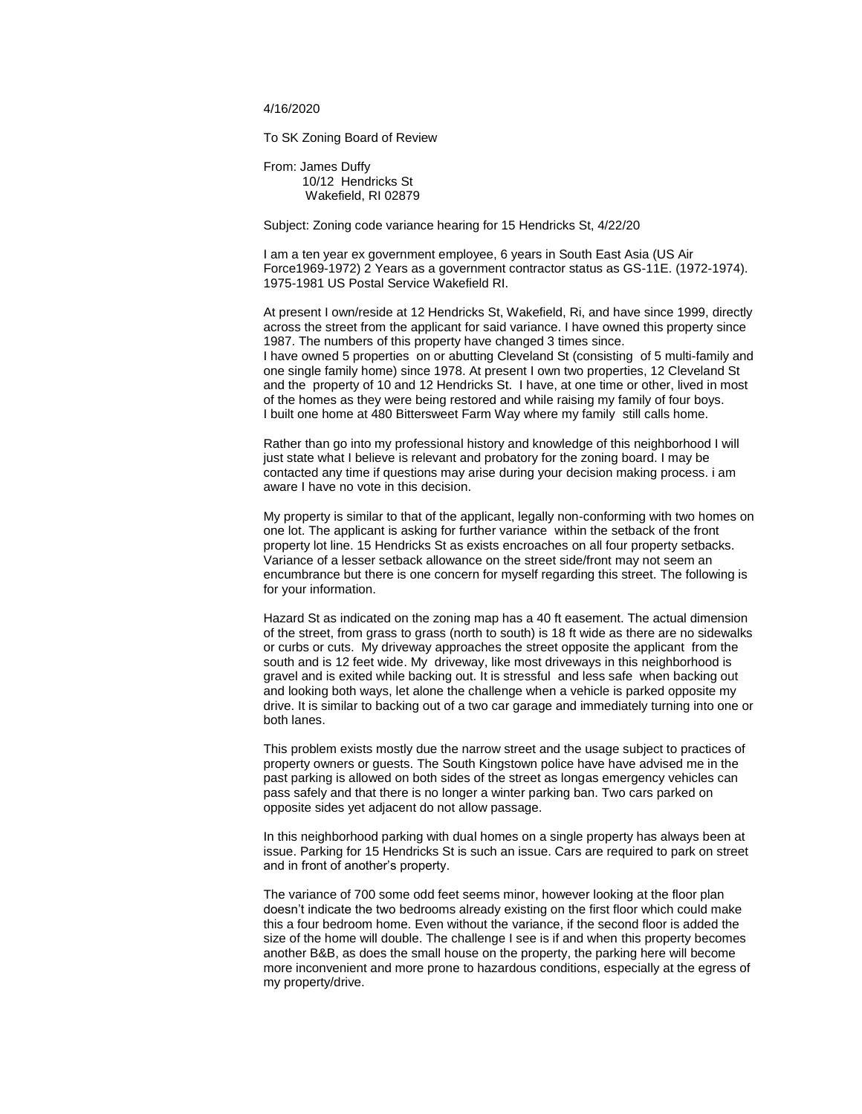4/16/2020

To SK Zoning Board of Review

From: James Duffy 10/12 Hendricks St Wakefield, RI 02879

Subject: Zoning code variance hearing for 15 Hendricks St, 4/22/20

I am a ten year ex government employee, 6 years in South East Asia (US Air Force1969-1972) 2 Years as a government contractor status as GS-11E. (1972-1974). 1975-1981 US Postal Service Wakefield RI.

At present I own/reside at 12 Hendricks St, Wakefield, Ri, and have since 1999, directly across the street from the applicant for said variance. I have owned this property since 1987. The numbers of this property have changed 3 times since. I have owned 5 properties on or abutting Cleveland St (consisting of 5 multi-family and one single family home) since 1978. At present I own two properties, 12 Cleveland St and the property of 10 and 12 Hendricks St. I have, at one time or other, lived in most of the homes as they were being restored and while raising my family of four boys. I built one home at 480 Bittersweet Farm Way where my family still calls home.

Rather than go into my professional history and knowledge of this neighborhood I will just state what I believe is relevant and probatory for the zoning board. I may be contacted any time if questions may arise during your decision making process. i am aware I have no vote in this decision.

My property is similar to that of the applicant, legally non-conforming with two homes on one lot. The applicant is asking for further variance within the setback of the front property lot line. 15 Hendricks St as exists encroaches on all four property setbacks. Variance of a lesser setback allowance on the street side/front may not seem an encumbrance but there is one concern for myself regarding this street. The following is for your information.

Hazard St as indicated on the zoning map has a 40 ft easement. The actual dimension of the street, from grass to grass (north to south) is 18 ft wide as there are no sidewalks or curbs or cuts. My driveway approaches the street opposite the applicant from the south and is 12 feet wide. My driveway, like most driveways in this neighborhood is gravel and is exited while backing out. It is stressful and less safe when backing out and looking both ways, let alone the challenge when a vehicle is parked opposite my drive. It is similar to backing out of a two car garage and immediately turning into one or both lanes.

This problem exists mostly due the narrow street and the usage subject to practices of property owners or guests. The South Kingstown police have have advised me in the past parking is allowed on both sides of the street as longas emergency vehicles can pass safely and that there is no longer a winter parking ban. Two cars parked on opposite sides yet adjacent do not allow passage.

In this neighborhood parking with dual homes on a single property has always been at issue. Parking for 15 Hendricks St is such an issue. Cars are required to park on street and in front of another's property.

The variance of 700 some odd feet seems minor, however looking at the floor plan doesn't indicate the two bedrooms already existing on the first floor which could make this a four bedroom home. Even without the variance, if the second floor is added the size of the home will double. The challenge I see is if and when this property becomes another B&B, as does the small house on the property, the parking here will become more inconvenient and more prone to hazardous conditions, especially at the egress of my property/drive.